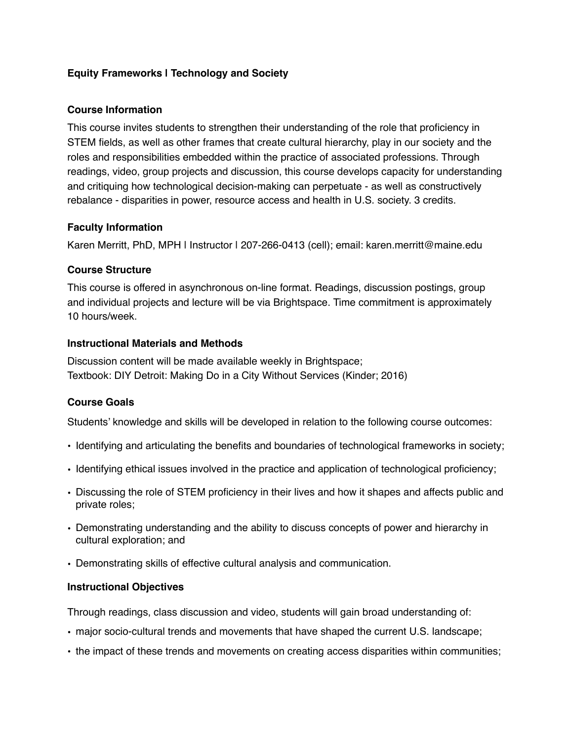# **Equity Frameworks | Technology and Society**

### **Course Information**

This course invites students to strengthen their understanding of the role that proficiency in STEM fields, as well as other frames that create cultural hierarchy, play in our society and the roles and responsibilities embedded within the practice of associated professions. Through readings, video, group projects and discussion, this course develops capacity for understanding and critiquing how technological decision-making can perpetuate - as well as constructively rebalance - disparities in power, resource access and health in U.S. society. 3 credits.

### **Faculty Information**

Karen Merritt, PhD, MPH | Instructor | 207-266-0413 (cell); email: karen.merritt@maine.edu

### **Course Structure**

This course is offered in asynchronous on-line format. Readings, discussion postings, group and individual projects and lecture will be via Brightspace. Time commitment is approximately 10 hours/week.

#### **Instructional Materials and Methods**

Discussion content will be made available weekly in Brightspace; Textbook: DIY Detroit: Making Do in a City Without Services (Kinder; 2016)

### **Course Goals**

Students' knowledge and skills will be developed in relation to the following course outcomes:

- Identifying and articulating the benefits and boundaries of technological frameworks in society;
- Identifying ethical issues involved in the practice and application of technological proficiency;
- Discussing the role of STEM proficiency in their lives and how it shapes and affects public and private roles;
- Demonstrating understanding and the ability to discuss concepts of power and hierarchy in cultural exploration; and
- Demonstrating skills of effective cultural analysis and communication.

### **Instructional Objectives**

Through readings, class discussion and video, students will gain broad understanding of:

- major socio-cultural trends and movements that have shaped the current U.S. landscape;
- the impact of these trends and movements on creating access disparities within communities;